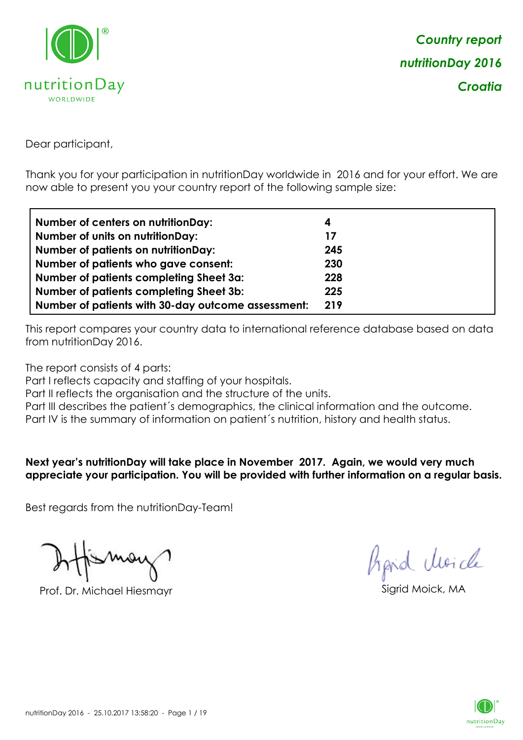

Dear participant,

Thank you for your participation in nutritionDay worldwide in 2016 and for your effort. We are now able to present you your country report of the following sample size:

| <b>Number of centers on nutritionDay:</b>          | 4   |
|----------------------------------------------------|-----|
| <b>Number of units on nutritionDay:</b>            | 17  |
| <b>Number of patients on nutritionDay:</b>         | 245 |
| Number of patients who gave consent:               | 230 |
| Number of patients completing Sheet 3a:            | 228 |
| <b>Number of patients completing Sheet 3b:</b>     | 225 |
| Number of patients with 30-day outcome assessment: | 219 |

This report compares your country data to international reference database based on data from nutritionDay 2016.

The report consists of 4 parts:

Part I reflects capacity and staffing of your hospitals.

Part II reflects the organisation and the structure of the units.

Part III describes the patient's demographics, the clinical information and the outcome.

Part IV is the summary of information on patient´s nutrition, history and health status.

**Next year's nutritionDay will take place in November 2017. Again, we would very much appreciate your participation. You will be provided with further information on a regular basis.**

Best regards from the nutritionDay-Team!

Prof. Dr. Michael Hiesmayr Sigrid Moick, MA

*Prpid cleacle* 

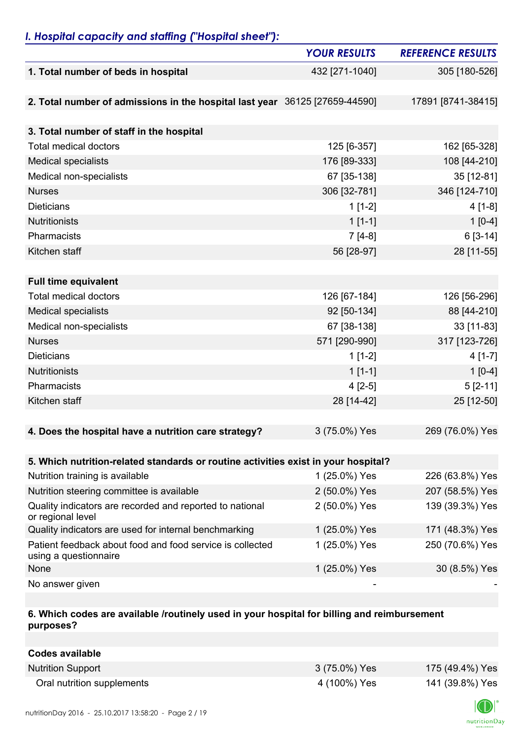### *I. Hospital capacity and staffing ("Hospital sheet"):*

|                                                                                    | <b>YOUR RESULTS</b> | <b>REFERENCE RESULTS</b> |
|------------------------------------------------------------------------------------|---------------------|--------------------------|
| 1. Total number of beds in hospital                                                | 432 [271-1040]      | 305 [180-526]            |
|                                                                                    |                     |                          |
| 2. Total number of admissions in the hospital last year 36125 [27659-44590]        |                     | 17891 [8741-38415]       |
|                                                                                    |                     |                          |
| 3. Total number of staff in the hospital                                           |                     |                          |
| <b>Total medical doctors</b>                                                       | 125 [6-357]         | 162 [65-328]             |
| <b>Medical specialists</b>                                                         | 176 [89-333]        | 108 [44-210]             |
| Medical non-specialists                                                            | 67 [35-138]         | 35 [12-81]               |
| <b>Nurses</b>                                                                      | 306 [32-781]        | 346 [124-710]            |
| <b>Dieticians</b>                                                                  | $1[1-2]$            | $4[1-8]$                 |
| <b>Nutritionists</b>                                                               | $1[1-1]$            | $1[0-4]$                 |
| Pharmacists                                                                        | $7[4-8]$            | $6[3-14]$                |
| Kitchen staff                                                                      | 56 [28-97]          | 28 [11-55]               |
|                                                                                    |                     |                          |
| <b>Full time equivalent</b>                                                        |                     |                          |
| <b>Total medical doctors</b>                                                       | 126 [67-184]        | 126 [56-296]             |
| <b>Medical specialists</b>                                                         | 92 [50-134]         | 88 [44-210]              |
| Medical non-specialists                                                            | 67 [38-138]         | 33 [11-83]               |
| <b>Nurses</b>                                                                      | 571 [290-990]       | 317 [123-726]            |
| <b>Dieticians</b>                                                                  | $1[1-2]$            | $4[1-7]$                 |
| <b>Nutritionists</b>                                                               | $1[1-1]$            | $1[0-4]$                 |
| Pharmacists                                                                        | $4[2-5]$            | $5 [2 - 11]$             |
| Kitchen staff                                                                      | 28 [14-42]          | 25 [12-50]               |
|                                                                                    |                     |                          |
| 4. Does the hospital have a nutrition care strategy?                               | 3 (75.0%) Yes       | 269 (76.0%) Yes          |
|                                                                                    |                     |                          |
| 5. Which nutrition-related standards or routine activities exist in your hospital? |                     |                          |
| Nutrition training is available                                                    | 1 (25.0%) Yes       | 226 (63.8%) Yes          |
| Nutrition steering committee is available                                          | 2 (50.0%) Yes       | 207 (58.5%) Yes          |
| Quality indicators are recorded and reported to national<br>or regional level      | 2 (50.0%) Yes       | 139 (39.3%) Yes          |
| Quality indicators are used for internal benchmarking                              | 1 (25.0%) Yes       | 171 (48.3%) Yes          |
| Patient feedback about food and food service is collected<br>using a questionnaire | 1 (25.0%) Yes       | 250 (70.6%) Yes          |
| None                                                                               | 1 (25.0%) Yes       | 30 (8.5%) Yes            |
| No answer given                                                                    |                     |                          |

### **6. Which codes are available /routinely used in your hospital for billing and reimbursement purposes?**

| Codes available            |               |                 |
|----------------------------|---------------|-----------------|
| <b>Nutrition Support</b>   | 3 (75.0%) Yes | 175 (49.4%) Yes |
| Oral nutrition supplements | 4 (100%) Yes  | 141 (39.8%) Yes |

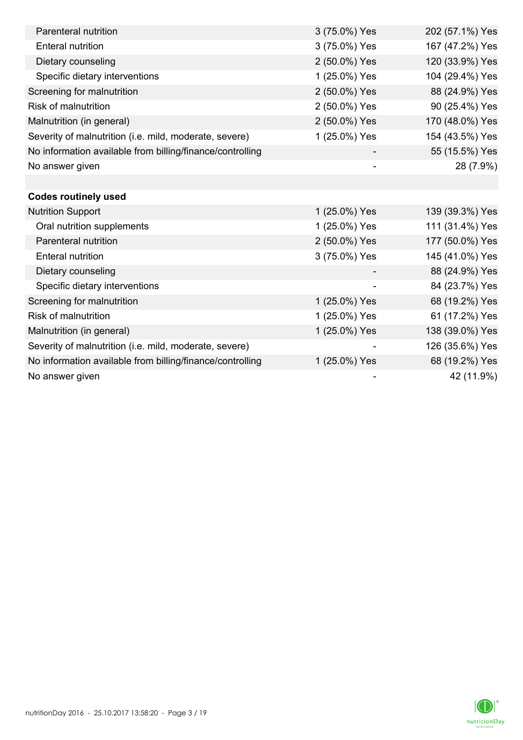| Parenteral nutrition                                      | 3 (75.0%) Yes | 202 (57.1%) Yes |
|-----------------------------------------------------------|---------------|-----------------|
| <b>Enteral nutrition</b>                                  | 3 (75.0%) Yes | 167 (47.2%) Yes |
| Dietary counseling                                        | 2 (50.0%) Yes | 120 (33.9%) Yes |
| Specific dietary interventions                            | 1 (25.0%) Yes | 104 (29.4%) Yes |
| Screening for malnutrition                                | 2 (50.0%) Yes | 88 (24.9%) Yes  |
| <b>Risk of malnutrition</b>                               | 2 (50.0%) Yes | 90 (25.4%) Yes  |
| Malnutrition (in general)                                 | 2 (50.0%) Yes | 170 (48.0%) Yes |
| Severity of malnutrition (i.e. mild, moderate, severe)    | 1 (25.0%) Yes | 154 (43.5%) Yes |
| No information available from billing/finance/controlling |               | 55 (15.5%) Yes  |
| No answer given                                           |               | 28 (7.9%)       |
|                                                           |               |                 |
| <b>Codes routinely used</b>                               |               |                 |
| <b>Nutrition Support</b>                                  | 1 (25.0%) Yes | 139 (39.3%) Yes |
| Oral nutrition supplements                                | 1 (25.0%) Yes | 111 (31.4%) Yes |
| Parenteral nutrition                                      | 2 (50.0%) Yes | 177 (50.0%) Yes |
| <b>Enteral nutrition</b>                                  | 3 (75.0%) Yes | 145 (41.0%) Yes |
| Dietary counseling                                        |               | 88 (24.9%) Yes  |
| Specific dietary interventions                            |               | 84 (23.7%) Yes  |
| Screening for malnutrition                                | 1 (25.0%) Yes | 68 (19.2%) Yes  |
| Risk of malnutrition                                      | 1 (25.0%) Yes | 61 (17.2%) Yes  |
| Malnutrition (in general)                                 | 1 (25.0%) Yes | 138 (39.0%) Yes |
| Severity of malnutrition (i.e. mild, moderate, severe)    |               | 126 (35.6%) Yes |
| No information available from billing/finance/controlling | 1 (25.0%) Yes | 68 (19.2%) Yes  |
| No answer given                                           |               | 42 (11.9%)      |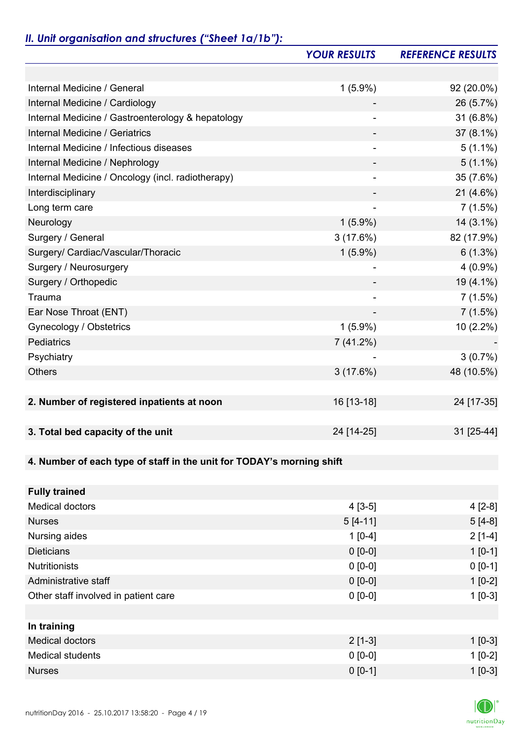## *II. Unit organisation and structures ("Sheet 1a/1b"):*

|                                                                       | <b>YOUR RESULTS</b>      | <b>REFERENCE RESULTS</b> |
|-----------------------------------------------------------------------|--------------------------|--------------------------|
|                                                                       |                          |                          |
| Internal Medicine / General                                           | $1(5.9\%)$               | 92 (20.0%)               |
| Internal Medicine / Cardiology                                        |                          | 26 (5.7%)                |
| Internal Medicine / Gastroenterology & hepatology                     |                          | 31 (6.8%)                |
| <b>Internal Medicine / Geriatrics</b>                                 |                          | 37 (8.1%)                |
| Internal Medicine / Infectious diseases                               |                          | $5(1.1\%)$               |
| Internal Medicine / Nephrology                                        |                          | $5(1.1\%)$               |
| Internal Medicine / Oncology (incl. radiotherapy)                     |                          | 35 (7.6%)                |
| Interdisciplinary                                                     |                          | $21(4.6\%)$              |
| Long term care                                                        | $\overline{\phantom{a}}$ | 7(1.5%)                  |
| Neurology                                                             | $1(5.9\%)$               | $14(3.1\%)$              |
| Surgery / General                                                     | 3(17.6%)                 | 82 (17.9%)               |
| Surgery/ Cardiac/Vascular/Thoracic                                    | $1(5.9\%)$               | $6(1.3\%)$               |
| Surgery / Neurosurgery                                                |                          | $4(0.9\%)$               |
| Surgery / Orthopedic                                                  |                          | 19 (4.1%)                |
| Trauma                                                                | $\overline{\phantom{a}}$ | 7(1.5%)                  |
| Ear Nose Throat (ENT)                                                 | $\overline{\phantom{a}}$ | 7(1.5%)                  |
| Gynecology / Obstetrics                                               | $1(5.9\%)$               | 10 (2.2%)                |
| Pediatrics                                                            | 7(41.2%)                 |                          |
| Psychiatry                                                            |                          | $3(0.7\%)$               |
| <b>Others</b>                                                         | 3(17.6%)                 | 48 (10.5%)               |
|                                                                       |                          |                          |
| 2. Number of registered inpatients at noon                            | 16 [13-18]               | 24 [17-35]               |
|                                                                       |                          |                          |
| 3. Total bed capacity of the unit                                     | 24 [14-25]               | 31 [25-44]               |
|                                                                       |                          |                          |
| 4. Number of each type of staff in the unit for TODAY's morning shift |                          |                          |
|                                                                       |                          |                          |
| <b>Fully trained</b>                                                  |                          |                          |
| <b>Medical doctors</b>                                                | $4[3-5]$                 | $4[2-8]$                 |
| <b>Nurses</b>                                                         | $5[4-11]$                | $5[4-8]$                 |
| Nursing aides                                                         | $1[0-4]$                 | $2[1-4]$                 |
| <b>Dieticians</b>                                                     | $0 [0-0]$                | $1[0-1]$                 |
| <b>Nutritionists</b>                                                  | $0 [0-0]$                | $0 [0-1]$                |
| Administrative staff                                                  | $0 [0-0]$                | $1[0-2]$                 |
| Other staff involved in patient care                                  | $0 [0-0]$                | $1[0-3]$                 |
|                                                                       |                          |                          |
| In training                                                           |                          |                          |
| <b>Medical doctors</b>                                                | $2[1-3]$                 | $1[0-3]$                 |
| <b>Medical students</b>                                               | $0 [0-0]$                | $1[0-2]$                 |
| <b>Nurses</b>                                                         | $0 [0-1]$                | $1 [0-3]$                |

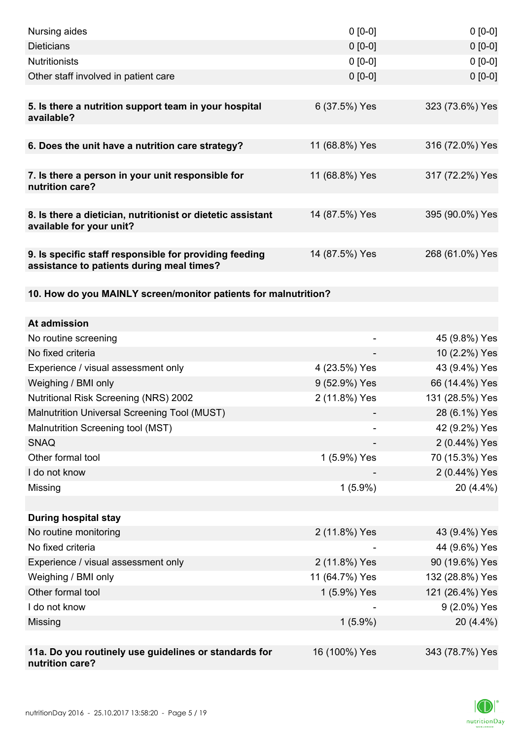| Nursing aides                                                                                       | $0 [0-0]$      | $0[0-0]$        |
|-----------------------------------------------------------------------------------------------------|----------------|-----------------|
| <b>Dieticians</b>                                                                                   | $0 [0-0]$      | $0[0-0]$        |
| <b>Nutritionists</b>                                                                                | $0 [0-0]$      | $0[0-0]$        |
| Other staff involved in patient care                                                                | $0 [0-0]$      | $0 [0-0]$       |
|                                                                                                     |                |                 |
| 5. Is there a nutrition support team in your hospital<br>available?                                 | 6 (37.5%) Yes  | 323 (73.6%) Yes |
| 6. Does the unit have a nutrition care strategy?                                                    | 11 (68.8%) Yes | 316 (72.0%) Yes |
| 7. Is there a person in your unit responsible for<br>nutrition care?                                | 11 (68.8%) Yes | 317 (72.2%) Yes |
|                                                                                                     |                |                 |
| 8. Is there a dietician, nutritionist or dietetic assistant<br>available for your unit?             | 14 (87.5%) Yes | 395 (90.0%) Yes |
| 9. Is specific staff responsible for providing feeding<br>assistance to patients during meal times? | 14 (87.5%) Yes | 268 (61.0%) Yes |
| 10. How do you MAINLY screen/monitor patients for malnutrition?                                     |                |                 |
| At admission                                                                                        |                |                 |
| No routine screening                                                                                | -              | 45 (9.8%) Yes   |
| No fixed criteria                                                                                   |                | 10 (2.2%) Yes   |
| Experience / visual assessment only                                                                 | 4 (23.5%) Yes  | 43 (9.4%) Yes   |
| Weighing / BMI only                                                                                 | 9 (52.9%) Yes  | 66 (14.4%) Yes  |
| <b>Nutritional Risk Screening (NRS) 2002</b>                                                        | 2 (11.8%) Yes  | 131 (28.5%) Yes |
| Malnutrition Universal Screening Tool (MUST)                                                        |                | 28 (6.1%) Yes   |
| Malnutrition Screening tool (MST)                                                                   |                | 42 (9.2%) Yes   |
| <b>SNAQ</b>                                                                                         |                | 2 (0.44%) Yes   |
| Other formal tool                                                                                   | 1 (5.9%) Yes   | 70 (15.3%) Yes  |
| I do not know                                                                                       |                | 2 (0.44%) Yes   |
| Missing                                                                                             | $1(5.9\%)$     | 20 (4.4%)       |
|                                                                                                     |                |                 |
| <b>During hospital stay</b>                                                                         |                |                 |
| No routine monitoring                                                                               | 2 (11.8%) Yes  | 43 (9.4%) Yes   |
| No fixed criteria                                                                                   |                | 44 (9.6%) Yes   |
| Experience / visual assessment only                                                                 | 2 (11.8%) Yes  | 90 (19.6%) Yes  |
| Weighing / BMI only                                                                                 | 11 (64.7%) Yes | 132 (28.8%) Yes |
| Other formal tool                                                                                   | 1 (5.9%) Yes   | 121 (26.4%) Yes |
| I do not know                                                                                       |                | 9 (2.0%) Yes    |
| Missing                                                                                             | $1(5.9\%)$     | 20 (4.4%)       |
|                                                                                                     |                |                 |
| 11a. Do you routinely use guidelines or standards for<br>nutrition care?                            | 16 (100%) Yes  | 343 (78.7%) Yes |

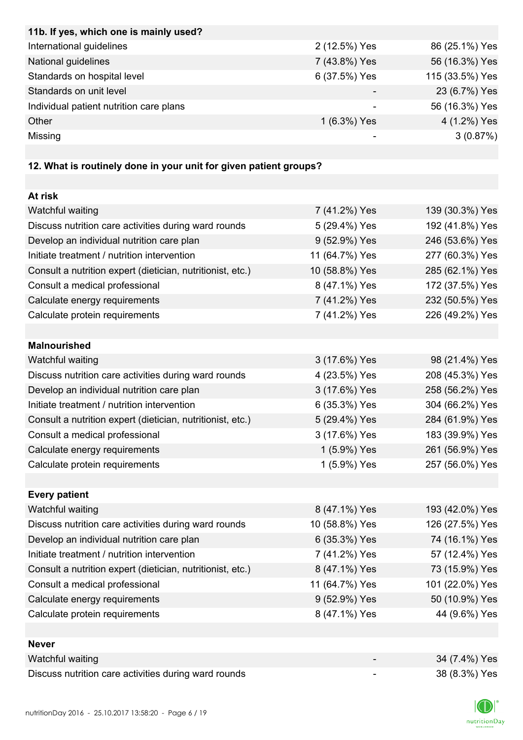| 11b. If yes, which one is mainly used?                            |                |                 |
|-------------------------------------------------------------------|----------------|-----------------|
| International guidelines                                          | 2 (12.5%) Yes  | 86 (25.1%) Yes  |
| National guidelines                                               | 7 (43.8%) Yes  | 56 (16.3%) Yes  |
| Standards on hospital level                                       | 6 (37.5%) Yes  | 115 (33.5%) Yes |
| Standards on unit level                                           |                | 23 (6.7%) Yes   |
| Individual patient nutrition care plans                           |                | 56 (16.3%) Yes  |
| Other                                                             | 1 (6.3%) Yes   | 4 (1.2%) Yes    |
| Missing                                                           |                | 3(0.87%)        |
|                                                                   |                |                 |
| 12. What is routinely done in your unit for given patient groups? |                |                 |
|                                                                   |                |                 |
| At risk                                                           |                |                 |
| Watchful waiting                                                  | 7 (41.2%) Yes  | 139 (30.3%) Yes |
| Discuss nutrition care activities during ward rounds              | 5 (29.4%) Yes  | 192 (41.8%) Yes |
| Develop an individual nutrition care plan                         | 9 (52.9%) Yes  | 246 (53.6%) Yes |
| Initiate treatment / nutrition intervention                       | 11 (64.7%) Yes | 277 (60.3%) Yes |
| Consult a nutrition expert (dietician, nutritionist, etc.)        | 10 (58.8%) Yes | 285 (62.1%) Yes |
| Consult a medical professional                                    | 8 (47.1%) Yes  | 172 (37.5%) Yes |
| Calculate energy requirements                                     | 7 (41.2%) Yes  | 232 (50.5%) Yes |
| Calculate protein requirements                                    | 7 (41.2%) Yes  | 226 (49.2%) Yes |
|                                                                   |                |                 |
| <b>Malnourished</b>                                               |                |                 |
| Watchful waiting                                                  | 3 (17.6%) Yes  | 98 (21.4%) Yes  |
| Discuss nutrition care activities during ward rounds              | 4 (23.5%) Yes  | 208 (45.3%) Yes |
| Develop an individual nutrition care plan                         | 3 (17.6%) Yes  | 258 (56.2%) Yes |
| Initiate treatment / nutrition intervention                       | 6 (35.3%) Yes  | 304 (66.2%) Yes |
| Consult a nutrition expert (dietician, nutritionist, etc.)        | 5 (29.4%) Yes  | 284 (61.9%) Yes |
| Consult a medical professional                                    | 3 (17.6%) Yes  | 183 (39.9%) Yes |
| Calculate energy requirements                                     | 1 (5.9%) Yes   | 261 (56.9%) Yes |
| Calculate protein requirements                                    | 1 (5.9%) Yes   | 257 (56.0%) Yes |
|                                                                   |                |                 |
| <b>Every patient</b>                                              |                |                 |
| Watchful waiting                                                  | 8 (47.1%) Yes  | 193 (42.0%) Yes |
| Discuss nutrition care activities during ward rounds              | 10 (58.8%) Yes | 126 (27.5%) Yes |
| Develop an individual nutrition care plan                         | 6 (35.3%) Yes  | 74 (16.1%) Yes  |
| Initiate treatment / nutrition intervention                       | 7 (41.2%) Yes  | 57 (12.4%) Yes  |
| Consult a nutrition expert (dietician, nutritionist, etc.)        | 8 (47.1%) Yes  | 73 (15.9%) Yes  |
| Consult a medical professional                                    | 11 (64.7%) Yes | 101 (22.0%) Yes |
| Calculate energy requirements                                     | 9 (52.9%) Yes  | 50 (10.9%) Yes  |
| Calculate protein requirements                                    | 8 (47.1%) Yes  | 44 (9.6%) Yes   |
|                                                                   |                |                 |
| <b>Never</b>                                                      |                |                 |
| Watchful waiting                                                  |                | 34 (7.4%) Yes   |
| Discuss nutrition care activities during ward rounds              |                | 38 (8.3%) Yes   |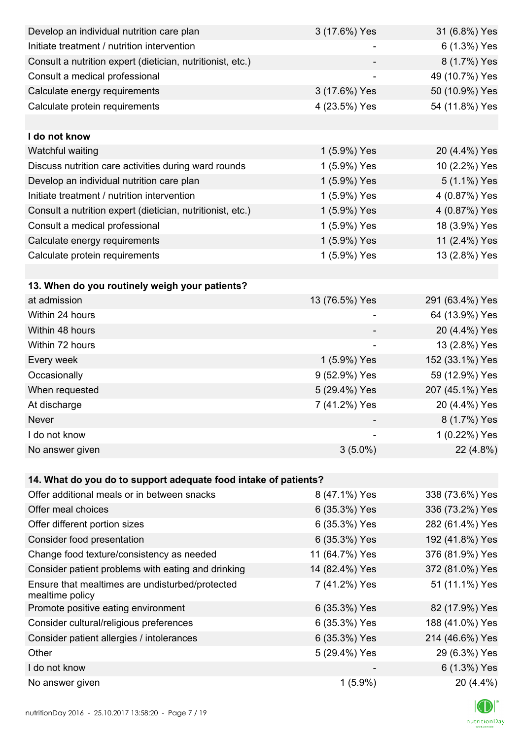| Develop an individual nutrition care plan                          | 3 (17.6%) Yes            | 31 (6.8%) Yes   |
|--------------------------------------------------------------------|--------------------------|-----------------|
| Initiate treatment / nutrition intervention                        |                          | 6 (1.3%) Yes    |
| Consult a nutrition expert (dietician, nutritionist, etc.)         |                          | 8 (1.7%) Yes    |
| Consult a medical professional                                     |                          | 49 (10.7%) Yes  |
| Calculate energy requirements                                      | 3 (17.6%) Yes            | 50 (10.9%) Yes  |
| Calculate protein requirements                                     | 4 (23.5%) Yes            | 54 (11.8%) Yes  |
|                                                                    |                          |                 |
| I do not know                                                      |                          |                 |
| Watchful waiting                                                   | 1 (5.9%) Yes             | 20 (4.4%) Yes   |
| Discuss nutrition care activities during ward rounds               | 1 (5.9%) Yes             | 10 (2.2%) Yes   |
| Develop an individual nutrition care plan                          | 1 (5.9%) Yes             | 5 (1.1%) Yes    |
| Initiate treatment / nutrition intervention                        | 1 (5.9%) Yes             | 4 (0.87%) Yes   |
| Consult a nutrition expert (dietician, nutritionist, etc.)         | 1 (5.9%) Yes             | 4 (0.87%) Yes   |
| Consult a medical professional                                     | 1 (5.9%) Yes             | 18 (3.9%) Yes   |
| Calculate energy requirements                                      | 1 (5.9%) Yes             | 11 (2.4%) Yes   |
| Calculate protein requirements                                     | 1 (5.9%) Yes             | 13 (2.8%) Yes   |
|                                                                    |                          |                 |
| 13. When do you routinely weigh your patients?                     |                          |                 |
| at admission                                                       | 13 (76.5%) Yes           | 291 (63.4%) Yes |
| Within 24 hours                                                    |                          | 64 (13.9%) Yes  |
| Within 48 hours                                                    |                          | 20 (4.4%) Yes   |
| Within 72 hours                                                    | $\overline{\phantom{a}}$ | 13 (2.8%) Yes   |
| Every week                                                         | 1 (5.9%) Yes             | 152 (33.1%) Yes |
| Occasionally                                                       | 9 (52.9%) Yes            | 59 (12.9%) Yes  |
| When requested                                                     | 5 (29.4%) Yes            | 207 (45.1%) Yes |
| At discharge                                                       | 7 (41.2%) Yes            | 20 (4.4%) Yes   |
| Never                                                              |                          | 8 (1.7%) Yes    |
| I do not know                                                      |                          | 1 (0.22%) Yes   |
| No answer given                                                    | $3(5.0\%)$               | 22 (4.8%)       |
|                                                                    |                          |                 |
| 14. What do you do to support adequate food intake of patients?    |                          |                 |
| Offer additional meals or in between snacks                        | 8 (47.1%) Yes            | 338 (73.6%) Yes |
| Offer meal choices                                                 | 6 (35.3%) Yes            | 336 (73.2%) Yes |
| Offer different portion sizes                                      | 6 (35.3%) Yes            | 282 (61.4%) Yes |
| Consider food presentation                                         | 6 (35.3%) Yes            | 192 (41.8%) Yes |
| Change food texture/consistency as needed                          | 11 (64.7%) Yes           | 376 (81.9%) Yes |
| Consider patient problems with eating and drinking                 | 14 (82.4%) Yes           | 372 (81.0%) Yes |
| Ensure that mealtimes are undisturbed/protected<br>mealtime policy | 7 (41.2%) Yes            | 51 (11.1%) Yes  |
| Promote positive eating environment                                | 6 (35.3%) Yes            | 82 (17.9%) Yes  |
| Consider cultural/religious preferences                            | 6 (35.3%) Yes            | 188 (41.0%) Yes |
| Consider patient allergies / intolerances                          | 6 (35.3%) Yes            | 214 (46.6%) Yes |
| Other                                                              | 5 (29.4%) Yes            | 29 (6.3%) Yes   |
| I do not know                                                      |                          | 6 (1.3%) Yes    |
| No answer given                                                    | $1(5.9\%)$               | 20 (4.4%)       |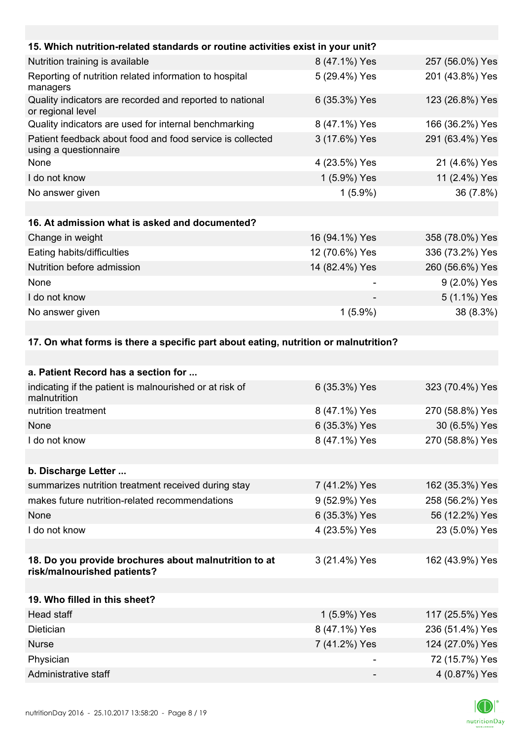| 15. Which nutrition-related standards or routine activities exist in your unit?     |                |                 |
|-------------------------------------------------------------------------------------|----------------|-----------------|
| Nutrition training is available                                                     | 8 (47.1%) Yes  | 257 (56.0%) Yes |
| Reporting of nutrition related information to hospital<br>managers                  | 5 (29.4%) Yes  | 201 (43.8%) Yes |
| Quality indicators are recorded and reported to national<br>or regional level       | 6 (35.3%) Yes  | 123 (26.8%) Yes |
| Quality indicators are used for internal benchmarking                               | 8 (47.1%) Yes  | 166 (36.2%) Yes |
| Patient feedback about food and food service is collected<br>using a questionnaire  | 3 (17.6%) Yes  | 291 (63.4%) Yes |
| None                                                                                | 4 (23.5%) Yes  | 21 (4.6%) Yes   |
| I do not know                                                                       | 1 (5.9%) Yes   | 11 (2.4%) Yes   |
| No answer given                                                                     | $1(5.9\%)$     | 36 (7.8%)       |
|                                                                                     |                |                 |
| 16. At admission what is asked and documented?                                      |                |                 |
| Change in weight                                                                    | 16 (94.1%) Yes | 358 (78.0%) Yes |
| Eating habits/difficulties                                                          | 12 (70.6%) Yes | 336 (73.2%) Yes |
| Nutrition before admission                                                          | 14 (82.4%) Yes | 260 (56.6%) Yes |
| None                                                                                |                | 9 (2.0%) Yes    |
| I do not know                                                                       |                | 5 (1.1%) Yes    |
| No answer given                                                                     | $1(5.9\%)$     | 38 (8.3%)       |
|                                                                                     |                |                 |
| 17. On what forms is there a specific part about eating, putrition or malnutrition? |                |                 |

# **17. On what forms is there a specific part about eating, nutrition or malnutrition?**

| a. Patient Record has a section for                                                  |               |                 |
|--------------------------------------------------------------------------------------|---------------|-----------------|
| indicating if the patient is malnourished or at risk of<br>malnutrition              | 6 (35.3%) Yes | 323 (70.4%) Yes |
| nutrition treatment                                                                  | 8 (47.1%) Yes | 270 (58.8%) Yes |
| <b>None</b>                                                                          | 6 (35.3%) Yes | 30 (6.5%) Yes   |
| I do not know                                                                        | 8 (47.1%) Yes | 270 (58.8%) Yes |
|                                                                                      |               |                 |
| b. Discharge Letter                                                                  |               |                 |
| summarizes nutrition treatment received during stay                                  | 7 (41.2%) Yes | 162 (35.3%) Yes |
| makes future nutrition-related recommendations                                       | 9 (52.9%) Yes | 258 (56.2%) Yes |
| None                                                                                 | 6 (35.3%) Yes | 56 (12.2%) Yes  |
| I do not know                                                                        | 4 (23.5%) Yes | 23 (5.0%) Yes   |
|                                                                                      |               |                 |
| 18. Do you provide brochures about malnutrition to at<br>risk/malnourished patients? | 3 (21.4%) Yes | 162 (43.9%) Yes |
|                                                                                      |               |                 |
| 19. Who filled in this sheet?                                                        |               |                 |
| Head staff                                                                           | 1 (5.9%) Yes  | 117 (25.5%) Yes |
| Dietician                                                                            | 8 (47.1%) Yes | 236 (51.4%) Yes |
| <b>Nurse</b>                                                                         | 7 (41.2%) Yes | 124 (27.0%) Yes |
| Physician                                                                            |               | 72 (15.7%) Yes  |
| Administrative staff                                                                 |               | 4 (0.87%) Yes   |

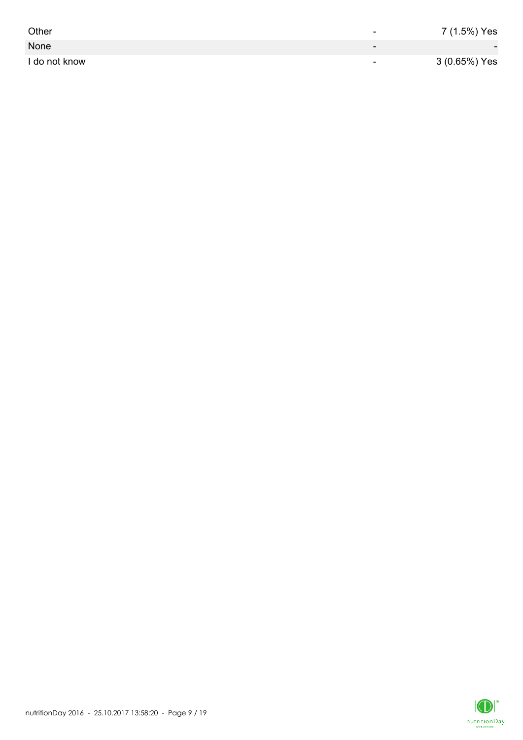| Other         | -                        | 7 (1.5%) Yes             |
|---------------|--------------------------|--------------------------|
| None          | $\overline{\phantom{0}}$ | $\overline{\phantom{0}}$ |
| I do not know | $\overline{\phantom{0}}$ | 3 (0.65%) Yes            |

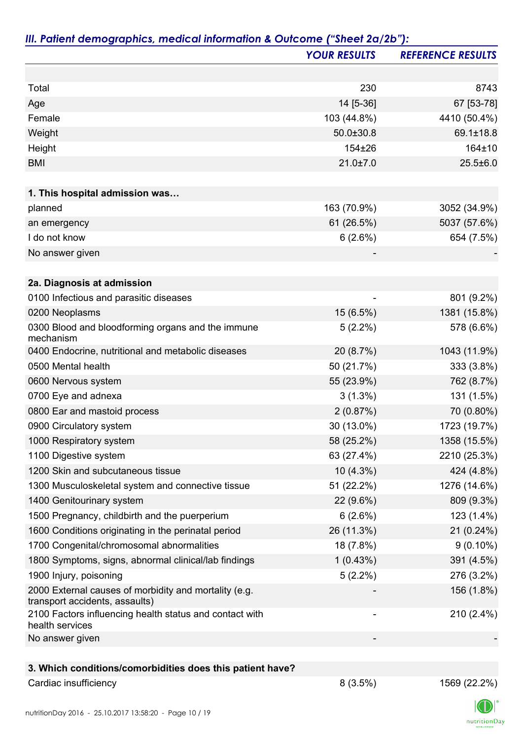|                                                                                         | <b>YOUR RESULTS</b> | <b>REFERENCE RESULTS</b> |
|-----------------------------------------------------------------------------------------|---------------------|--------------------------|
|                                                                                         |                     |                          |
| Total                                                                                   | 230                 | 8743                     |
| Age                                                                                     | 14 [5-36]           | 67 [53-78]               |
| Female                                                                                  | 103 (44.8%)         | 4410 (50.4%)             |
| Weight                                                                                  | $50.0 \pm 30.8$     | 69.1±18.8                |
| Height                                                                                  | 154±26              | 164±10                   |
| <b>BMI</b>                                                                              | $21.0 \pm 7.0$      | $25.5 \pm 6.0$           |
|                                                                                         |                     |                          |
| 1. This hospital admission was                                                          |                     |                          |
| planned                                                                                 | 163 (70.9%)         | 3052 (34.9%)             |
| an emergency                                                                            | 61 (26.5%)          | 5037 (57.6%)             |
| I do not know                                                                           | 6(2.6%)             | 654 (7.5%)               |
| No answer given                                                                         |                     |                          |
|                                                                                         |                     |                          |
| 2a. Diagnosis at admission                                                              |                     |                          |
| 0100 Infectious and parasitic diseases                                                  |                     | 801 (9.2%)               |
| 0200 Neoplasms                                                                          | 15 (6.5%)           | 1381 (15.8%)             |
| 0300 Blood and bloodforming organs and the immune<br>mechanism                          | $5(2.2\%)$          | 578 (6.6%)               |
| 0400 Endocrine, nutritional and metabolic diseases                                      | 20 (8.7%)           | 1043 (11.9%)             |
| 0500 Mental health                                                                      | 50 (21.7%)          | 333 (3.8%)               |
| 0600 Nervous system                                                                     | 55 (23.9%)          | 762 (8.7%)               |
| 0700 Eye and adnexa                                                                     | $3(1.3\%)$          | 131 (1.5%)               |
| 0800 Ear and mastoid process                                                            | 2(0.87%)            | 70 (0.80%)               |
| 0900 Circulatory system                                                                 | 30 (13.0%)          | 1723 (19.7%)             |
| 1000 Respiratory system                                                                 | 58 (25.2%)          | 1358 (15.5%)             |
| 1100 Digestive system                                                                   | 63 (27.4%)          | 2210 (25.3%)             |
| 1200 Skin and subcutaneous tissue                                                       | $10(4.3\%)$         | 424 (4.8%)               |
| 1300 Musculoskeletal system and connective tissue                                       | 51 (22.2%)          | 1276 (14.6%)             |
| 1400 Genitourinary system                                                               | 22 (9.6%)           | 809 (9.3%)               |
| 1500 Pregnancy, childbirth and the puerperium                                           | 6(2.6%)             | 123 (1.4%)               |
| 1600 Conditions originating in the perinatal period                                     | 26 (11.3%)          | 21 (0.24%)               |
| 1700 Congenital/chromosomal abnormalities                                               | 18 (7.8%)           | $9(0.10\%)$              |
| 1800 Symptoms, signs, abnormal clinical/lab findings                                    | 1(0.43%)            | 391 (4.5%)               |
| 1900 Injury, poisoning                                                                  | $5(2.2\%)$          | 276 (3.2%)               |
| 2000 External causes of morbidity and mortality (e.g.<br>transport accidents, assaults) |                     | 156 (1.8%)               |
| 2100 Factors influencing health status and contact with<br>health services              |                     | 210 (2.4%)               |
| No answer given                                                                         |                     |                          |
|                                                                                         |                     |                          |

### **3. Which conditions/comorbidities does this patient have?**

Cardiac insufficiency 22.2%)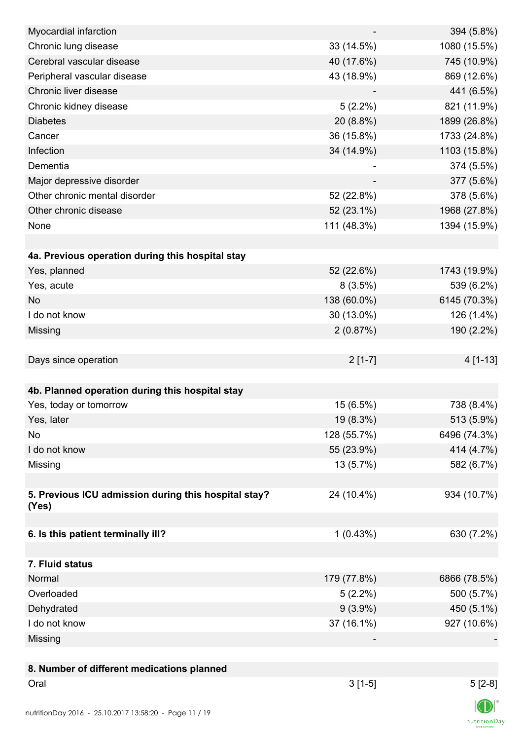| Myocardial infarction                                |             | 394 (5.8%)     |
|------------------------------------------------------|-------------|----------------|
| Chronic lung disease                                 | 33 (14.5%)  | 1080 (15.5%)   |
| Cerebral vascular disease                            | 40 (17.6%)  | 745 (10.9%)    |
| Peripheral vascular disease                          | 43 (18.9%)  | 869 (12.6%)    |
| Chronic liver disease                                |             | 441 (6.5%)     |
| Chronic kidney disease                               | $5(2.2\%)$  | 821 (11.9%)    |
| <b>Diabetes</b>                                      | 20 (8.8%)   | 1899 (26.8%)   |
| Cancer                                               | 36 (15.8%)  | 1733 (24.8%)   |
| Infection                                            | 34 (14.9%)  | 1103 (15.8%)   |
| Dementia                                             |             | 374 (5.5%)     |
| Major depressive disorder                            |             | 377 (5.6%)     |
| Other chronic mental disorder                        | 52 (22.8%)  | 378 (5.6%)     |
| Other chronic disease                                | 52 (23.1%)  | 1968 (27.8%)   |
| None                                                 | 111 (48.3%) | 1394 (15.9%)   |
|                                                      |             |                |
| 4a. Previous operation during this hospital stay     |             |                |
| Yes, planned                                         | 52 (22.6%)  | 1743 (19.9%)   |
| Yes, acute                                           | 8(3.5%)     | 539 (6.2%)     |
| <b>No</b>                                            | 138 (60.0%) | 6145 (70.3%)   |
| I do not know                                        | 30 (13.0%)  | 126 (1.4%)     |
| Missing                                              | 2(0.87%)    | 190 (2.2%)     |
|                                                      |             |                |
| Days since operation                                 | $2[1-7]$    | $4[1-13]$      |
|                                                      |             |                |
| 4b. Planned operation during this hospital stay      |             |                |
| Yes, today or tomorrow                               | 15 (6.5%)   | 738 (8.4%)     |
| Yes, later                                           | 19 (8.3%)   | 513 (5.9%)     |
| No                                                   | 128 (55.7%) | 6496 (74.3%)   |
| I do not know                                        | 55 (23.9%)  | 414 (4.7%)     |
| Missing                                              | 13 (5.7%)   | 582 (6.7%)     |
|                                                      |             |                |
| 5. Previous ICU admission during this hospital stay? | 24 (10.4%)  | 934 (10.7%)    |
| (Yes)                                                |             |                |
|                                                      |             |                |
| 6. Is this patient terminally ill?                   | 1(0.43%)    | 630 (7.2%)     |
|                                                      |             |                |
| 7. Fluid status                                      |             |                |
| Normal                                               | 179 (77.8%) | 6866 (78.5%)   |
| Overloaded                                           | $5(2.2\%)$  | 500 (5.7%)     |
| Dehydrated                                           | $9(3.9\%)$  | 450 (5.1%)     |
| I do not know                                        | 37 (16.1%)  | 927 (10.6%)    |
| Missing                                              |             |                |
|                                                      |             |                |
| 8. Number of different medications planned           |             |                |
| Oral                                                 | $3[1-5]$    | $5[2-8]$       |
|                                                      |             | $\blacksquare$ |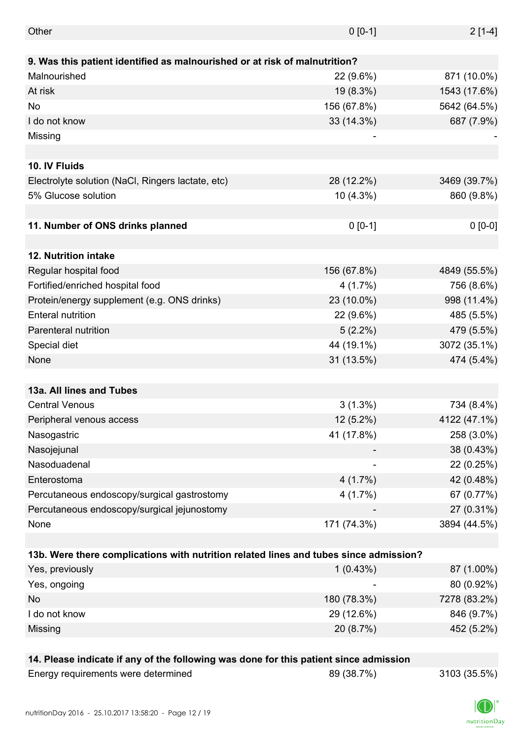| Other                                                                                 |             |              |
|---------------------------------------------------------------------------------------|-------------|--------------|
|                                                                                       | $0 [0-1]$   | $2[1-4]$     |
| 9. Was this patient identified as malnourished or at risk of malnutrition?            |             |              |
| Malnourished                                                                          | 22 (9.6%)   | 871 (10.0%)  |
|                                                                                       |             |              |
| At risk                                                                               | 19 (8.3%)   | 1543 (17.6%) |
| No                                                                                    | 156 (67.8%) | 5642 (64.5%) |
| I do not know                                                                         | 33 (14.3%)  | 687 (7.9%)   |
| Missing                                                                               |             |              |
| 10. IV Fluids                                                                         |             |              |
|                                                                                       |             |              |
| Electrolyte solution (NaCl, Ringers lactate, etc)<br>5% Glucose solution              | 28 (12.2%)  | 3469 (39.7%) |
|                                                                                       | 10 (4.3%)   | 860 (9.8%)   |
| 11. Number of ONS drinks planned                                                      | $0 [0-1]$   | $0 [0-0]$    |
|                                                                                       |             |              |
| 12. Nutrition intake                                                                  |             |              |
| Regular hospital food                                                                 | 156 (67.8%) | 4849 (55.5%) |
| Fortified/enriched hospital food                                                      | 4(1.7%)     | 756 (8.6%)   |
| Protein/energy supplement (e.g. ONS drinks)                                           | 23 (10.0%)  | 998 (11.4%)  |
| <b>Enteral nutrition</b>                                                              | 22 (9.6%)   | 485 (5.5%)   |
| Parenteral nutrition                                                                  | $5(2.2\%)$  | 479 (5.5%)   |
| Special diet                                                                          | 44 (19.1%)  | 3072 (35.1%) |
| None                                                                                  | 31 (13.5%)  | 474 (5.4%)   |
|                                                                                       |             |              |
| 13a. All lines and Tubes                                                              |             |              |
| <b>Central Venous</b>                                                                 | $3(1.3\%)$  | 734 (8.4%)   |
| Peripheral venous access                                                              | $12(5.2\%)$ | 4122 (47.1%) |
| Nasogastric                                                                           | 41 (17.8%)  | 258 (3.0%)   |
| Nasojejunal                                                                           |             | 38 (0.43%)   |
| Nasoduadenal                                                                          |             | 22 (0.25%)   |
| Enterostoma                                                                           | 4(1.7%)     | 42 (0.48%)   |
| Percutaneous endoscopy/surgical gastrostomy                                           | 4(1.7%)     | 67 (0.77%)   |
| Percutaneous endoscopy/surgical jejunostomy                                           |             | 27 (0.31%)   |
| None                                                                                  | 171 (74.3%) | 3894 (44.5%) |
|                                                                                       |             |              |
| 13b. Were there complications with nutrition related lines and tubes since admission? |             |              |
| Yes, previously                                                                       | 1(0.43%)    | 87 (1.00%)   |
| Yes, ongoing                                                                          |             | 80 (0.92%)   |
| No                                                                                    | 180 (78.3%) | 7278 (83.2%) |
| I do not know                                                                         | 29 (12.6%)  | 846 (9.7%)   |
| Missing                                                                               | 20 (8.7%)   | 452 (5.2%)   |
|                                                                                       |             |              |
| 14. Please indicate if any of the following was done for this patient since admission |             |              |

| Energy requirements were determined | 89 (38.7%) | 3103 (35.5%) |
|-------------------------------------|------------|--------------|
|-------------------------------------|------------|--------------|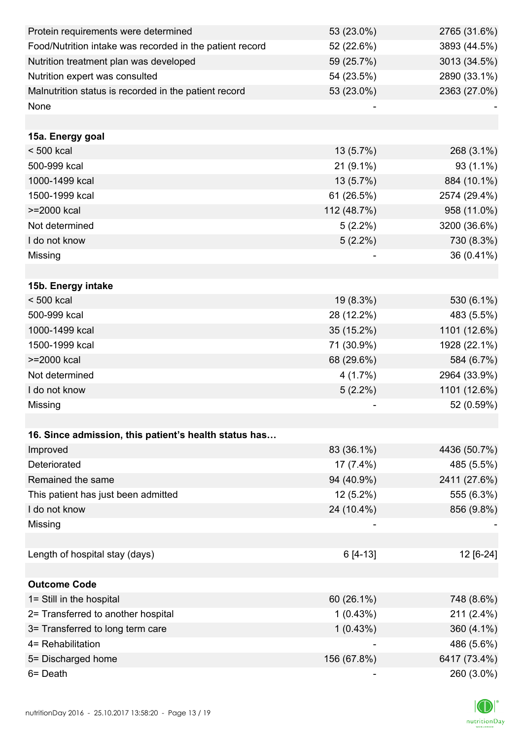| Protein requirements were determined                     | 53 (23.0%)  | 2765 (31.6%) |
|----------------------------------------------------------|-------------|--------------|
| Food/Nutrition intake was recorded in the patient record | 52 (22.6%)  | 3893 (44.5%) |
| Nutrition treatment plan was developed                   | 59 (25.7%)  | 3013 (34.5%) |
| Nutrition expert was consulted                           | 54 (23.5%)  | 2890 (33.1%) |
| Malnutrition status is recorded in the patient record    | 53 (23.0%)  | 2363 (27.0%) |
| None                                                     |             |              |
|                                                          |             |              |
| 15a. Energy goal                                         |             |              |
| $< 500$ kcal                                             | 13 (5.7%)   | 268 (3.1%)   |
| 500-999 kcal                                             | $21(9.1\%)$ | 93 (1.1%)    |
| 1000-1499 kcal                                           | 13 (5.7%)   | 884 (10.1%)  |
| 1500-1999 kcal                                           | 61 (26.5%)  | 2574 (29.4%) |
| >=2000 kcal                                              | 112 (48.7%) | 958 (11.0%)  |
| Not determined                                           | $5(2.2\%)$  | 3200 (36.6%) |
| I do not know                                            | $5(2.2\%)$  | 730 (8.3%)   |
| Missing                                                  |             | 36 (0.41%)   |
|                                                          |             |              |
| 15b. Energy intake                                       |             |              |
| $< 500$ kcal                                             | 19 (8.3%)   | 530 (6.1%)   |
| 500-999 kcal                                             | 28 (12.2%)  | 483 (5.5%)   |
| 1000-1499 kcal                                           | 35 (15.2%)  | 1101 (12.6%) |
| 1500-1999 kcal                                           | 71 (30.9%)  | 1928 (22.1%) |
| >=2000 kcal                                              | 68 (29.6%)  | 584 (6.7%)   |
| Not determined                                           | 4(1.7%)     | 2964 (33.9%) |
| I do not know                                            | $5(2.2\%)$  | 1101 (12.6%) |
| Missing                                                  |             | 52 (0.59%)   |
|                                                          |             |              |
| 16. Since admission, this patient's health status has    |             |              |
| Improved                                                 | 83 (36.1%)  | 4436 (50.7%) |
| Deteriorated                                             | $17(7.4\%)$ | 485 (5.5%)   |
| Remained the same                                        | 94 (40.9%)  | 2411 (27.6%) |
| This patient has just been admitted                      | 12 (5.2%)   | 555 (6.3%)   |
| I do not know                                            | 24 (10.4%)  | 856 (9.8%)   |
| Missing                                                  |             |              |
|                                                          |             |              |
| Length of hospital stay (days)                           | 6 [4-13]    | 12 [6-24]    |
|                                                          |             |              |
| <b>Outcome Code</b>                                      |             |              |
| 1= Still in the hospital                                 | 60 (26.1%)  | 748 (8.6%)   |
| 2= Transferred to another hospital                       | 1(0.43%)    | 211 (2.4%)   |
| 3= Transferred to long term care                         | 1(0.43%)    | 360 (4.1%)   |
| 4= Rehabilitation                                        |             | 486 (5.6%)   |
| 5= Discharged home                                       | 156 (67.8%) | 6417 (73.4%) |
| 6= Death                                                 |             | 260 (3.0%)   |

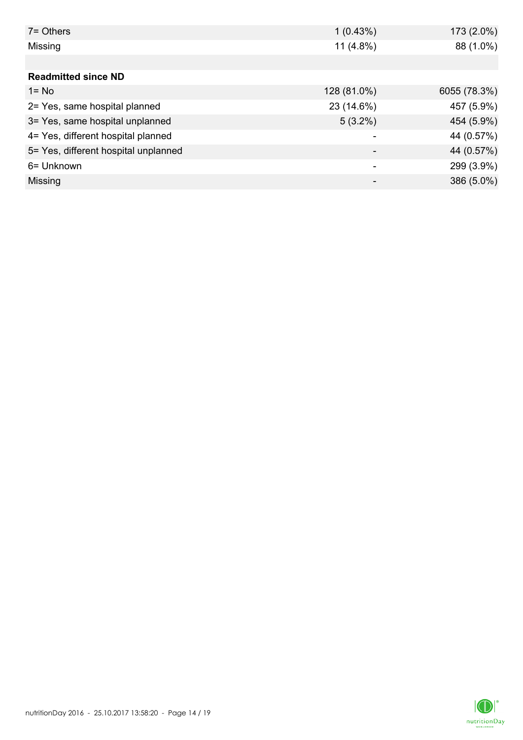| $7 =$ Others                         | 1(0.43%)    | 173 (2.0%)   |
|--------------------------------------|-------------|--------------|
| Missing                              | $11(4.8\%)$ | 88 (1.0%)    |
|                                      |             |              |
| <b>Readmitted since ND</b>           |             |              |
| $1 = No$                             | 128 (81.0%) | 6055 (78.3%) |
| 2= Yes, same hospital planned        | 23 (14.6%)  | 457 (5.9%)   |
| 3= Yes, same hospital unplanned      | $5(3.2\%)$  | 454 (5.9%)   |
| 4= Yes, different hospital planned   |             | 44 (0.57%)   |
| 5= Yes, different hospital unplanned |             | 44 (0.57%)   |
| 6= Unknown                           |             | 299 (3.9%)   |
| Missing                              |             | 386 (5.0%)   |

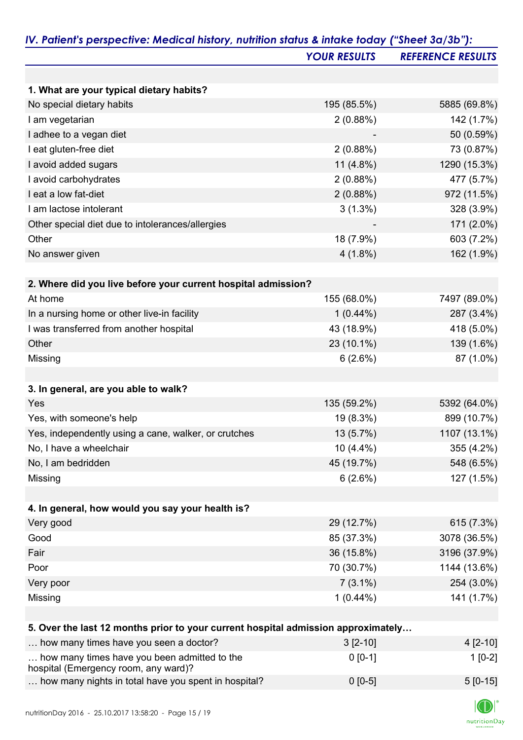|                                                                                      | <b>YOUR RESULTS</b> | <b>REFERENCE RESULTS</b> |
|--------------------------------------------------------------------------------------|---------------------|--------------------------|
|                                                                                      |                     |                          |
| 1. What are your typical dietary habits?                                             |                     |                          |
| No special dietary habits                                                            | 195 (85.5%)         | 5885 (69.8%)             |
| I am vegetarian                                                                      | 2(0.88%)            | 142 (1.7%)               |
| I adhee to a vegan diet                                                              |                     | 50 (0.59%)               |
| I eat gluten-free diet                                                               | 2(0.88%)            | 73 (0.87%)               |
| I avoid added sugars                                                                 | 11 $(4.8\%)$        | 1290 (15.3%)             |
| I avoid carbohydrates                                                                | 2(0.88%)            | 477 (5.7%)               |
| I eat a low fat-diet                                                                 | 2(0.88%)            | 972 (11.5%)              |
| I am lactose intolerant                                                              | $3(1.3\%)$          | 328 (3.9%)               |
| Other special diet due to intolerances/allergies                                     |                     | 171 (2.0%)               |
| Other                                                                                | 18 (7.9%)           | 603 (7.2%)               |
| No answer given                                                                      | $4(1.8\%)$          | 162 (1.9%)               |
|                                                                                      |                     |                          |
| 2. Where did you live before your current hospital admission?<br>At home             |                     |                          |
|                                                                                      | 155 (68.0%)         | 7497 (89.0%)             |
| In a nursing home or other live-in facility                                          | $1(0.44\%)$         | 287 (3.4%)               |
| I was transferred from another hospital                                              | 43 (18.9%)          | 418 (5.0%)               |
| Other                                                                                | 23 (10.1%)          | 139 (1.6%)               |
| Missing                                                                              | 6(2.6%)             | 87 (1.0%)                |
| 3. In general, are you able to walk?                                                 |                     |                          |
| Yes                                                                                  | 135 (59.2%)         | 5392 (64.0%)             |
| Yes, with someone's help                                                             | 19 (8.3%)           | 899 (10.7%)              |
| Yes, independently using a cane, walker, or crutches                                 | 13 (5.7%)           | 1107 (13.1%)             |
| No, I have a wheelchair                                                              | 10 (4.4%)           | 355 (4.2%)               |
| No, I am bedridden                                                                   | 45 (19.7%)          | 548 (6.5%)               |
| Missing                                                                              | 6(2.6%)             | 127 (1.5%)               |
| 4. In general, how would you say your health is?                                     |                     |                          |
| Very good                                                                            | 29 (12.7%)          | 615 (7.3%)               |
| Good                                                                                 | 85 (37.3%)          | 3078 (36.5%)             |
| Fair                                                                                 | 36 (15.8%)          | 3196 (37.9%)             |
| Poor                                                                                 |                     | 1144 (13.6%)             |
|                                                                                      | 70 (30.7%)          |                          |
| Very poor                                                                            | $7(3.1\%)$          | 254 (3.0%)               |
| Missing                                                                              | $1(0.44\%)$         | 141 (1.7%)               |
| 5. Over the last 12 months prior to your current hospital admission approximately    |                     |                          |
| how many times have you seen a doctor?                                               | $3 [2 - 10]$        | 4 [2-10]                 |
| how many times have you been admitted to the<br>hospital (Emergency room, any ward)? | $0 [0-1]$           | $1[0-2]$                 |

| how many nights in total have you spent in hospital? | $0$ [0-5] | $5 [0-15]$ |
|------------------------------------------------------|-----------|------------|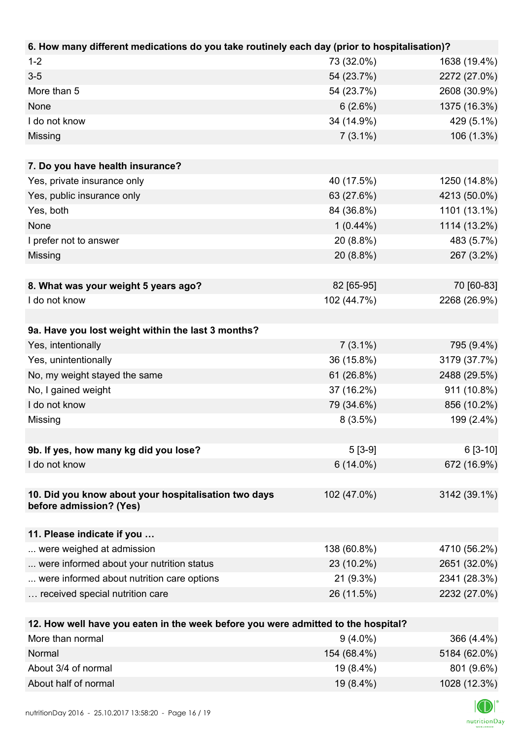| 6. How many different medications do you take routinely each day (prior to hospitalisation)? |             |              |
|----------------------------------------------------------------------------------------------|-------------|--------------|
| $1 - 2$                                                                                      | 73 (32.0%)  | 1638 (19.4%) |
| $3-5$                                                                                        | 54 (23.7%)  | 2272 (27.0%) |
| More than 5                                                                                  | 54 (23.7%)  | 2608 (30.9%) |
| None                                                                                         | 6(2.6%)     | 1375 (16.3%) |
| I do not know                                                                                | 34 (14.9%)  | 429 (5.1%)   |
| Missing                                                                                      | $7(3.1\%)$  | 106 (1.3%)   |
|                                                                                              |             |              |
| 7. Do you have health insurance?                                                             |             |              |
| Yes, private insurance only                                                                  | 40 (17.5%)  | 1250 (14.8%) |
| Yes, public insurance only                                                                   | 63 (27.6%)  | 4213 (50.0%) |
| Yes, both                                                                                    | 84 (36.8%)  | 1101 (13.1%) |
| None                                                                                         | $1(0.44\%)$ | 1114 (13.2%) |
| I prefer not to answer                                                                       | 20 (8.8%)   | 483 (5.7%)   |
| Missing                                                                                      | 20 (8.8%)   | 267 (3.2%)   |
|                                                                                              |             |              |
| 8. What was your weight 5 years ago?                                                         | 82 [65-95]  | 70 [60-83]   |
| I do not know                                                                                | 102 (44.7%) | 2268 (26.9%) |
|                                                                                              |             |              |
| 9a. Have you lost weight within the last 3 months?                                           |             |              |
| Yes, intentionally                                                                           | $7(3.1\%)$  | 795 (9.4%)   |
| Yes, unintentionally                                                                         | 36 (15.8%)  | 3179 (37.7%) |
| No, my weight stayed the same                                                                | 61 (26.8%)  | 2488 (29.5%) |
| No, I gained weight                                                                          | 37 (16.2%)  | 911 (10.8%)  |
| I do not know                                                                                | 79 (34.6%)  | 856 (10.2%)  |
| Missing                                                                                      | 8(3.5%)     | 199 (2.4%)   |
|                                                                                              |             |              |
| 9b. If yes, how many kg did you lose?                                                        | $5[3-9]$    | $6[3-10]$    |
| I do not know                                                                                | $6(14.0\%)$ | 672 (16.9%)  |
|                                                                                              |             |              |
| 10. Did you know about your hospitalisation two days                                         | 102 (47.0%) | 3142 (39.1%) |
| before admission? (Yes)                                                                      |             |              |
|                                                                                              |             |              |
| 11. Please indicate if you                                                                   |             |              |
| were weighed at admission                                                                    | 138 (60.8%) | 4710 (56.2%) |
| were informed about your nutrition status                                                    | 23 (10.2%)  | 2651 (32.0%) |
| were informed about nutrition care options                                                   | 21 (9.3%)   | 2341 (28.3%) |
| received special nutrition care                                                              | 26 (11.5%)  | 2232 (27.0%) |
|                                                                                              |             |              |
| 12. How well have you eaten in the week before you were admitted to the hospital?            |             |              |
| More than normal                                                                             | $9(4.0\%)$  | 366 (4.4%)   |
| Normal                                                                                       | 154 (68.4%) | 5184 (62.0%) |

| .                    | $\sim$ $\sim$ $\sim$ $\sim$ $\sim$ $\sim$ $\sim$ $\sim$ | $\bullet$ . $\bullet$ . $\bullet$ . $\bullet$ . $\bullet$ . $\bullet$ . |
|----------------------|---------------------------------------------------------|-------------------------------------------------------------------------|
| About 3/4 of normal  | 19 (8.4%)                                               | 801 (9.6%)                                                              |
| About half of normal | $19(8.4\%)$                                             | 1028 (12.3%)                                                            |
|                      |                                                         |                                                                         |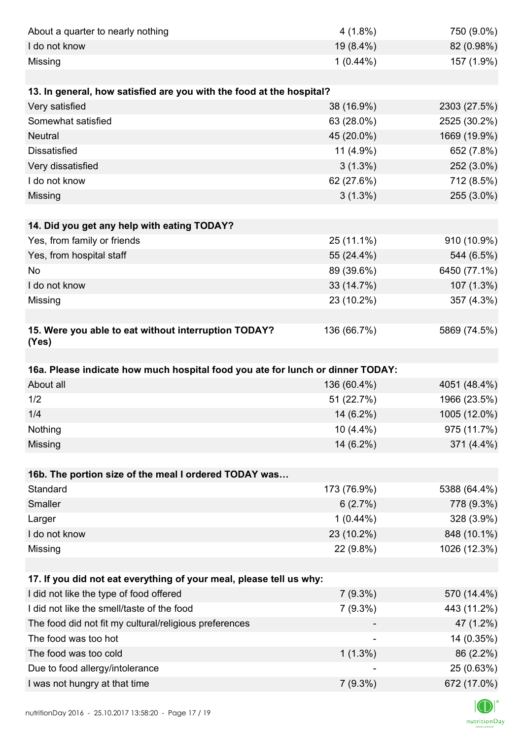| About a quarter to nearly nothing                                              | $4(1.8\%)$  | 750 (9.0%)                   |
|--------------------------------------------------------------------------------|-------------|------------------------------|
| I do not know                                                                  | 19 (8.4%)   | 82 (0.98%)                   |
| Missing                                                                        | $1(0.44\%)$ | 157 (1.9%)                   |
|                                                                                |             |                              |
| 13. In general, how satisfied are you with the food at the hospital?           |             |                              |
| Very satisfied                                                                 | 38 (16.9%)  | 2303 (27.5%)                 |
| Somewhat satisfied                                                             | 63 (28.0%)  | 2525 (30.2%)                 |
| <b>Neutral</b>                                                                 | 45 (20.0%)  | 1669 (19.9%)                 |
| <b>Dissatisfied</b>                                                            | 11 (4.9%)   | 652 (7.8%)                   |
| Very dissatisfied                                                              | $3(1.3\%)$  | 252 (3.0%)                   |
| I do not know                                                                  | 62 (27.6%)  | 712 (8.5%)                   |
| Missing                                                                        | $3(1.3\%)$  | 255 (3.0%)                   |
|                                                                                |             |                              |
| 14. Did you get any help with eating TODAY?                                    |             |                              |
| Yes, from family or friends                                                    | 25 (11.1%)  | 910 (10.9%)                  |
| Yes, from hospital staff                                                       | 55 (24.4%)  | 544 (6.5%)                   |
| <b>No</b>                                                                      | 89 (39.6%)  | 6450 (77.1%)                 |
| I do not know                                                                  | 33 (14.7%)  | 107 (1.3%)                   |
| Missing                                                                        | 23 (10.2%)  | 357 (4.3%)                   |
|                                                                                |             |                              |
| 15. Were you able to eat without interruption TODAY?<br>(Yes)                  | 136 (66.7%) | 5869 (74.5%)                 |
|                                                                                |             |                              |
|                                                                                |             |                              |
| 16a. Please indicate how much hospital food you ate for lunch or dinner TODAY: |             |                              |
| About all                                                                      | 136 (60.4%) | 4051 (48.4%)                 |
| 1/2                                                                            | 51 (22.7%)  | 1966 (23.5%)                 |
| 1/4                                                                            | 14 (6.2%)   |                              |
| Nothing                                                                        | $10(4.4\%)$ | 975 (11.7%)                  |
| Missing                                                                        | 14 (6.2%)   | 371 (4.4%)                   |
|                                                                                |             |                              |
| 16b. The portion size of the meal I ordered TODAY was                          |             |                              |
| Standard                                                                       | 173 (76.9%) | 1005 (12.0%)<br>5388 (64.4%) |
| Smaller                                                                        | 6(2.7%)     | 778 (9.3%)                   |
| Larger                                                                         | $1(0.44\%)$ | 328 (3.9%)                   |
| I do not know                                                                  | 23 (10.2%)  | 848 (10.1%)                  |
| Missing                                                                        | 22 (9.8%)   | 1026 (12.3%)                 |
|                                                                                |             |                              |
| 17. If you did not eat everything of your meal, please tell us why:            |             |                              |
| I did not like the type of food offered                                        | $7(9.3\%)$  |                              |
| I did not like the smell/taste of the food                                     | $7(9.3\%)$  | 443 (11.2%)                  |
| The food did not fit my cultural/religious preferences                         |             | 47 (1.2%)                    |
| The food was too hot                                                           |             | 14 (0.35%)                   |
| The food was too cold                                                          | $1(1.3\%)$  | 86 (2.2%)                    |
| Due to food allergy/intolerance<br>I was not hungry at that time               |             | 570 (14.4%)<br>25 (0.63%)    |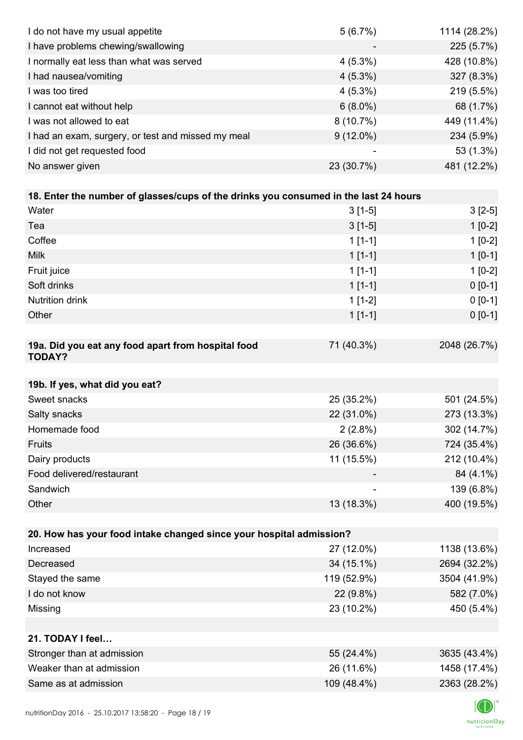| I do not have my usual appetite                                                      | 5(6.7%)     | 1114 (28.2%) |
|--------------------------------------------------------------------------------------|-------------|--------------|
| I have problems chewing/swallowing                                                   |             | 225 (5.7%)   |
| I normally eat less than what was served                                             | $4(5.3\%)$  | 428 (10.8%)  |
| I had nausea/vomiting                                                                | $4(5.3\%)$  | 327 (8.3%)   |
| I was too tired                                                                      | $4(5.3\%)$  | 219 (5.5%)   |
| I cannot eat without help                                                            | $6(8.0\%)$  | 68 (1.7%)    |
| I was not allowed to eat                                                             | $8(10.7\%)$ | 449 (11.4%)  |
| I had an exam, surgery, or test and missed my meal                                   | $9(12.0\%)$ | 234 (5.9%)   |
| I did not get requested food                                                         |             | 53 (1.3%)    |
| No answer given                                                                      | 23 (30.7%)  | 481 (12.2%)  |
|                                                                                      |             |              |
| 18. Enter the number of glasses/cups of the drinks you consumed in the last 24 hours |             |              |
| Water                                                                                | $3[1-5]$    | $3[2-5]$     |
| Tea                                                                                  | $3[1-5]$    | $1[0-2]$     |
| Coffee                                                                               | $1[1-1]$    | $1[0-2]$     |
| <b>Milk</b>                                                                          | $1[1-1]$    | $1[0-1]$     |
| Fruit juice                                                                          | $1[1-1]$    | $1[0-2]$     |
| Soft drinks                                                                          | $1[1-1]$    | $0 [0-1]$    |
| Nutrition drink                                                                      | $1[1-2]$    | $0 [0-1]$    |
| Other                                                                                | $1[1-1]$    | $0 [0-1]$    |
|                                                                                      |             |              |
| 19a. Did you eat any food apart from hospital food<br><b>TODAY?</b>                  | 71 (40.3%)  | 2048 (26.7%) |
| 19b. If yes, what did you eat?                                                       |             |              |
| Sweet snacks                                                                         | 25 (35.2%)  | 501 (24.5%)  |
| Salty snacks                                                                         | 22 (31.0%)  | 273 (13.3%)  |
| Homemade food                                                                        | $2(2.8\%)$  | 302 (14.7%)  |
| Fruits                                                                               | 26 (36.6%)  | 724 (35.4%)  |
| Dairy products                                                                       | 11 (15.5%)  | 212 (10.4%)  |
| Food delivered/restaurant                                                            |             | 84 (4.1%)    |
| Sandwich                                                                             |             | 139 (6.8%)   |
| Other                                                                                | 13 (18.3%)  | 400 (19.5%)  |
|                                                                                      |             |              |
| 20. How has your food intake changed since your hospital admission?                  |             |              |
| Increased                                                                            | 27 (12.0%)  | 1138 (13.6%) |
| Decreased                                                                            | 34 (15.1%)  | 2694 (32.2%) |
| Stayed the same                                                                      | 119 (52.9%) | 3504 (41.9%) |
| I do not know                                                                        | 22 (9.8%)   | 582 (7.0%)   |
| Missing                                                                              | 23 (10.2%)  | 450 (5.4%)   |
|                                                                                      |             |              |
| 21. TODAY I feel                                                                     |             |              |
| Stronger than at admission                                                           | 55 (24.4%)  | 3635 (43.4%) |
| Weaker than at admission                                                             | 26 (11.6%)  | 1458 (17.4%) |
|                                                                                      | 109 (48.4%) | 2363 (28.2%) |
| Same as at admission                                                                 |             |              |